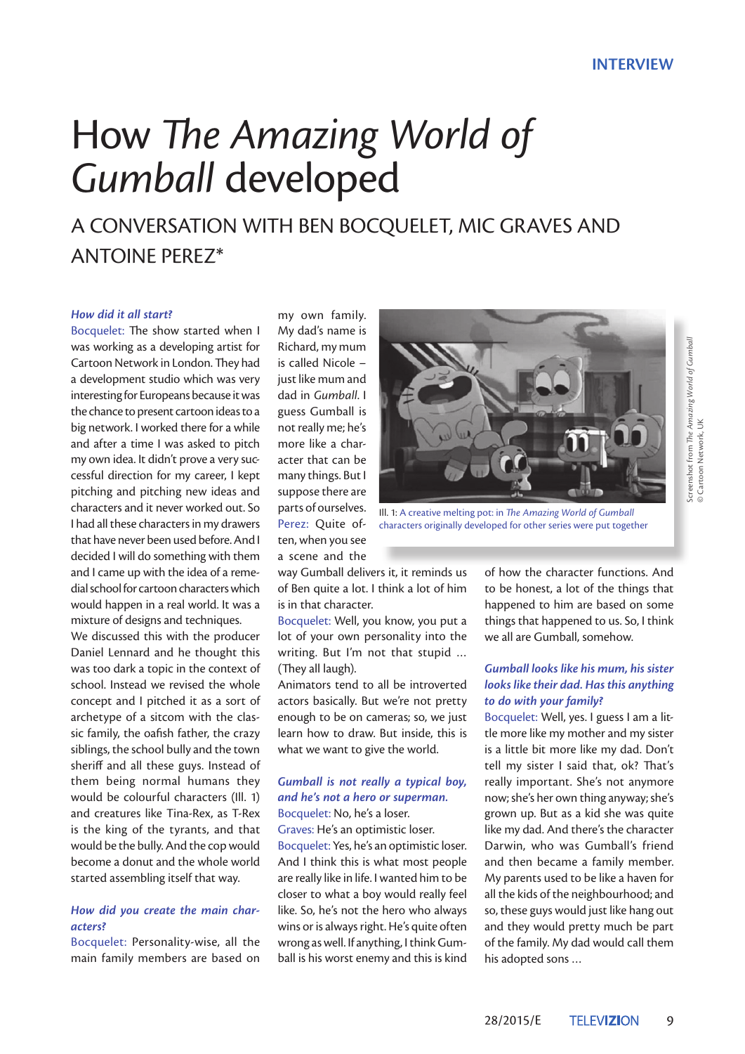# How *The Amazing World of*  Gumball developed

A CONVERSATION WITH BEN BOCOUELET, MIC GRAVES AND Antoine Perez\*

#### *How did it all start?*

Bocquelet: The show started when I was working as a developing artist for Cartoon Network in London. They had a development studio which was very interesting for Europeans because it was the chance to present cartoon ideas to a big network. I worked there for a while and after a time I was asked to pitch my own idea. It didn't prove a very successful direction for my career, I kept pitching and pitching new ideas and characters and it never worked out. So I had all these characters in my drawers that have never been used before. And I decided I will do something with them and I came up with the idea of a remedial school for cartoon characters which would happen in a real world. It was a mixture of designs and techniques.

We discussed this with the producer Daniel Lennard and he thought this was too dark a topic in the context of school. Instead we revised the whole concept and I pitched it as a sort of archetype of a sitcom with the classic family, the oafish father, the crazy siblings, the school bully and the town sheriff and all these guys. Instead of them being normal humans they would be colourful characters (Ill. 1) and creatures like Tina-Rex, as T-Rex is the king of the tyrants, and that would be the bully. And the cop would become a donut and the whole world started assembling itself that way.

## *How did you create the main characters?*

Bocquelet: Personality-wise, all the main family members are based on

my own family. My dad's name is Richard, my mum is called Nicole – just like mum and dad in *Gumball*. I guess Gumball is not really me; he's more like a character that can be many things. But I suppose there are parts of ourselves. Perez: Quite often, when you see a scene and the



Ill. 1: A creative melting pot: in *The Amazing World of Gumball* characters originally developed for other series were put together

way Gumball delivers it, it reminds us of Ben quite a lot. I think a lot of him is in that character.

Bocquelet: Well, you know, you put a lot of your own personality into the writing. But I'm not that stupid … (They all laugh).

Animators tend to all be introverted actors basically. But we're not pretty enough to be on cameras; so, we just learn how to draw. But inside, this is what we want to give the world.

## *Gumball is not really a typical boy, and he's not a hero or superman.*

Bocquelet: No, he's a loser.

Graves: He's an optimistic loser. Bocquelet: Yes, he's an optimistic loser. And I think this is what most people are really like in life. I wanted him to be closer to what a boy would really feel like. So, he's not the hero who always wins or is always right. He's quite often wrong as well. If anything, I think Gumball is his worst enemy and this is kind

of how the character functions. And to be honest, a lot of the things that happened to him are based on some things that happened to us. So, I think we all are Gumball, somehow.

## *Gumball looks like his mum, his sister looks like their dad. Has this anything to do with your family?*

Bocquelet: Well, yes. I guess I am a little more like my mother and my sister is a little bit more like my dad. Don't tell my sister I said that, ok? That's really important. She's not anymore now; she's her own thing anyway; she's grown up. But as a kid she was quite like my dad. And there's the character Darwin, who was Gumball's friend and then became a family member. My parents used to be like a haven for all the kids of the neighbourhood; and so, these guys would just like hang out and they would pretty much be part of the family. My dad would call them his adopted sons …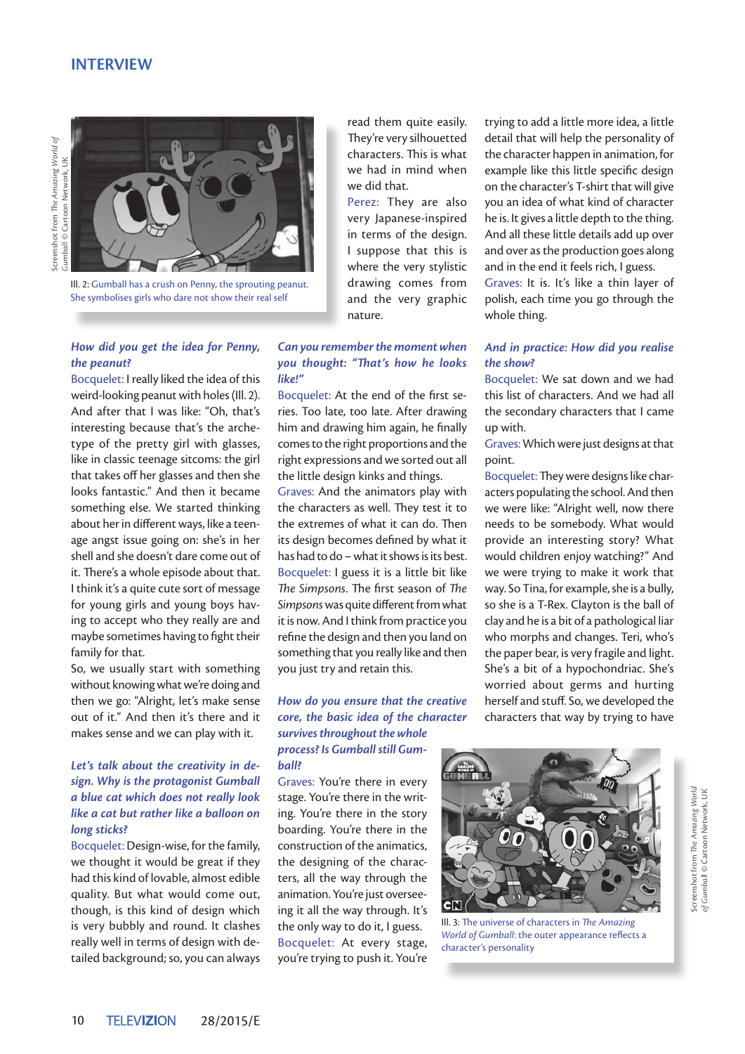## **INTERVIEW**



Ill. 2: Gumball has a crush on Penny, the sprouting peanut. She symbolises girls who dare not show their real self

#### *How did you get the idea for Penny, the peanut?*

Bocquelet: I really liked the idea of this weird-looking peanut with holes (Ill. 2). And after that I was like: "Oh, that's interesting because that's the archetype of the pretty girl with glasses, like in classic teenage sitcoms: the girl that takes off her glasses and then she looks fantastic." And then it became something else. We started thinking about her in different ways, like a teenage angst issue going on: she's in her shell and she doesn't dare come out of it. There's a whole episode about that. I think it's a quite cute sort of message for young girls and young boys having to accept who they really are and maybe sometimes having to fight their family for that.

So, we usually start with something without knowing what we're doing and then we go: "Alright, let's make sense out of it." And then it's there and it makes sense and we can play with it.

#### *Let's talk about the creativity in design. Why is the protagonist Gumball a blue cat which does not really look like a cat but rather like a balloon on long sticks?*

Bocquelet: Design-wise, for the family, we thought it would be great if they had this kind of lovable, almost edible quality. But what would come out, though, is this kind of design which is very bubbly and round. It clashes really well in terms of design with detailed background; so, you can always

read them quite easily. They're very silhouetted characters. This is what we had in mind when we did that.

Perez: They are also very Japanese-inspired in terms of the design. I suppose that this is where the very stylistic drawing comes from and the very graphic nature.

#### *Can you remember the moment when you thought: "That's how he looks like!"*

Bocquelet: At the end of the first series. Too late, too late. After drawing him and drawing him again, he finally comes to the right proportions and the right expressions and we sorted out all the little design kinks and things.

Graves: And the animators play with the characters as well. They test it to the extremes of what it can do. Then its design becomes defined by what it has had to do – what it shows is its best. Bocquelet: I guess it is a little bit like *The Simpsons*. The first season of *The Simpsons* was quite different from what it is now. And I think from practice you refine the design and then you land on something that you really like and then you just try and retain this.

### *How do you ensure that the creative core, the basic idea of the character survives throughout the whole process? Is Gumball still Gumball?*

Graves: You're there in every stage. You're there in the writing. You're there in the story boarding. You're there in the construction of the animatics, the designing of the characters, all the way through the animation. You're just overseeing it all the way through. It's the only way to do it, I guess. Bocquelet: At every stage, you're trying to push it. You're trying to add a little more idea, a little detail that will help the personality of the character happen in animation, for example like this little specific design on the character's T-shirt that will give you an idea of what kind of character he is. It gives a little depth to the thing. And all these little details add up over and over as the production goes along and in the end it feels rich, I guess.

Graves: It is. It's like a thin layer of polish, each time you go through the whole thing.

#### *And in practice: How did you realise the show?*

Bocquelet: We sat down and we had this list of characters. And we had all the secondary characters that I came up with.

Graves: Which were just designs at that point.

Bocquelet: They were designs like characters populating the school. And then we were like: "Alright well, now there needs to be somebody. What would provide an interesting story? What would children enjoy watching?" And we were trying to make it work that way. So Tina, for example, she is a bully, so she is a T-Rex. Clayton is the ball of clay and he is a bit of a pathological liar who morphs and changes. Teri, who's the paper bear, is very fragile and light. She's a bit of a hypochondriac. She's worried about germs and hurting herself and stuff. So, we developed the characters that way by trying to have



Ill. 3: The universe of characters in *The Amazing World of Gumball*: the outer appearance reflects a character's personality

Screenshot from *The Amazing World*  Screenshot from The Amazing World of Gumball © Cartoon Network, UK *of Gumbal*l © Cartoon Network, UK